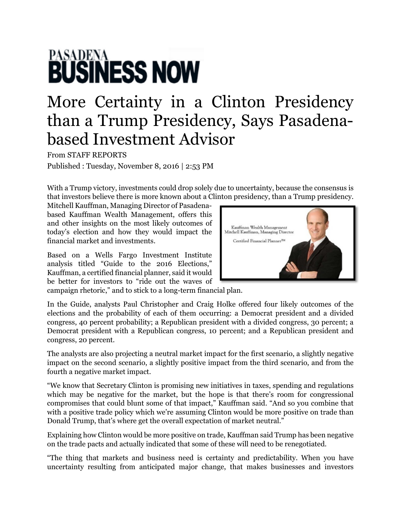## **PASADENA**<br>**BUSINESS NOW**

## More Certainty in a Clinton Presidency than a Trump Presidency, Says Pasadenabased Investment Advisor

From STAFF REPORTS Published : Tuesday, November 8, 2016 | 2:53 PM

With a Trump victory, investments could drop solely due to uncertainty, because the consensus is that investors believe there is more known about a Clinton presidency, than a Trump presidency.

Mitchell Kauffman, Managing Director of Pasadenabased Kauffman Wealth Management, offers this and other insights on the most likely outcomes of today's election and how they would impact the financial market and investments.

Based on a Wells Fargo Investment Institute analysis titled "Guide to the 2016 Elections," Kauffman, a certified financial planner, said it would be better for investors to "ride out the waves of



campaign rhetoric," and to stick to a long-term financial plan.

In the Guide, analysts Paul Christopher and Craig Holke offered four likely outcomes of the elections and the probability of each of them occurring: a Democrat president and a divided congress, 40 percent probability; a Republican president with a divided congress, 30 percent; a Democrat president with a Republican congress, 10 percent; and a Republican president and congress, 20 percent.

The analysts are also projecting a neutral market impact for the first scenario, a slightly negative impact on the second scenario, a slightly positive impact from the third scenario, and from the fourth a negative market impact.

"We know that Secretary Clinton is promising new initiatives in taxes, spending and regulations which may be negative for the market, but the hope is that there's room for congressional compromises that could blunt some of that impact," Kauffman said. "And so you combine that with a positive trade policy which we're assuming Clinton would be more positive on trade than Donald Trump, that's where get the overall expectation of market neutral."

Explaining how Clinton would be more positive on trade, Kauffman said Trump has been negative on the trade pacts and actually indicated that some of these will need to be renegotiated.

"The thing that markets and business need is certainty and predictability. When you have uncertainty resulting from anticipated major change, that makes businesses and investors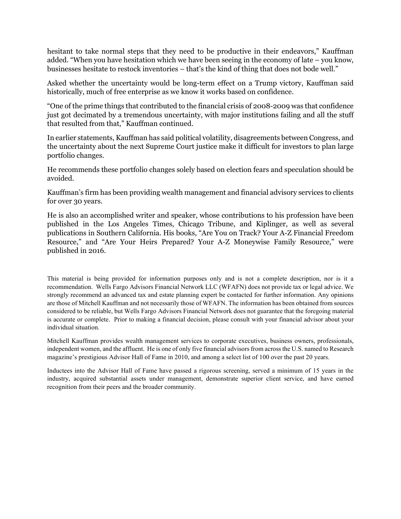hesitant to take normal steps that they need to be productive in their endeavors," Kauffman added. "When you have hesitation which we have been seeing in the economy of late – you know, businesses hesitate to restock inventories – that's the kind of thing that does not bode well."

Asked whether the uncertainty would be long-term effect on a Trump victory, Kauffman said historically, much of free enterprise as we know it works based on confidence.

"One of the prime things that contributed to the financial crisis of 2008-2009 was that confidence just got decimated by a tremendous uncertainty, with major institutions failing and all the stuff that resulted from that," Kauffman continued.

In earlier statements, Kauffman has said political volatility, disagreements between Congress, and the uncertainty about the next Supreme Court justice make it difficult for investors to plan large portfolio changes.

He recommends these portfolio changes solely based on election fears and speculation should be avoided.

Kauffman's firm has been providing wealth management and financial advisory services to clients for over 30 years.

He is also an accomplished writer and speaker, whose contributions to his profession have been published in the Los Angeles Times, Chicago Tribune, and Kiplinger, as well as several publications in Southern California. His books, "Are You on Track? Your A-Z Financial Freedom Resource," and "Are Your Heirs Prepared? Your A-Z Moneywise Family Resource," were published in 2016.

This material is being provided for information purposes only and is not a complete description, nor is it a recommendation. Wells Fargo Advisors Financial Network LLC (WFAFN) does not provide tax or legal advice. We strongly recommend an advanced tax and estate planning expert be contacted for further information. Any opinions are those of Mitchell Kauffman and not necessarily those of WFAFN. The information has been obtained from sources considered to be reliable, but Wells Fargo Advisors Financial Network does not guarantee that the foregoing material is accurate or complete. Prior to making a financial decision, please consult with your financial advisor about your individual situation.

Mitchell Kauffman provides wealth management services to corporate executives, business owners, professionals, independent women, and the affluent. He is one of only five financial advisors from across the U.S. named to Research magazine's prestigious Advisor Hall of Fame in 2010, and among a select list of 100 over the past 20 years.

Inductees into the Advisor Hall of Fame have passed a rigorous screening, served a minimum of 15 years in the industry, acquired substantial assets under management, demonstrate superior client service, and have earned recognition from their peers and the broader community.